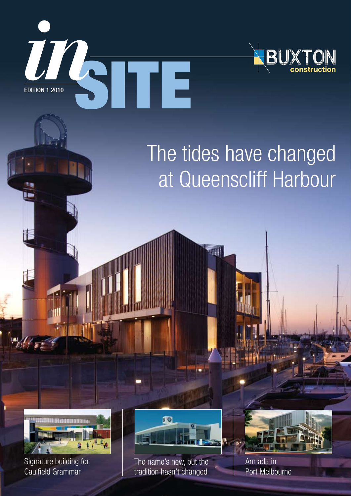



# The tides have changed at Queenscliff Harbour



Signature building for Caulfield Grammar



The name's new, but the tradition hasn't changed



Armada in Port Melbourne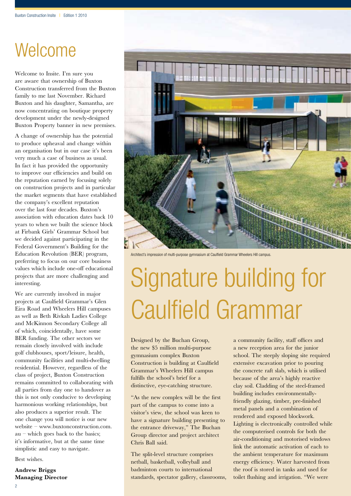## Welcome

Welcome to Insite. I'm sure you are aware that ownership of Buxton Construction transferred from the Buxton family to me last November. Richard Buxton and his daughter, Samantha, are now concentrating on boutique property development under the newly-designed Buxton Property banner in new premises.

A change of ownership has the potential to produce upheaval and change within an organisation but in our case it's been very much a case of business as usual. In fact it has provided the opportunity to improve our efficiencies and build on the reputation earned by focusing solely on construction projects and in particular the market segments that have established the company's excellent reputation over the last four decades. Buxton's association with education dates back 10 years to when we built the science block at Firbank Girls' Grammar School but we decided against participating in the Federal Government's Building for the Education Revolution (BER) program, preferring to focus on our core business values which include one-off educational projects that are more challenging and interesting.

We are currently involved in major projects at Caulfield Grammar's Glen Eira Road and Wheelers Hill campuses as well as Beth Rivkah Ladies College and McKinnon Secondary College all of which, coincidentally, have some BER funding. The other sectors we remain closely involved with include golf clubhouses, sport/leisure, health, community facilities and multi-dwelling residential. However, regardless of the class of project, Buxton Construction remains committed to collaborating with all parties from day one to handover as this is not only conducive to developing harmonious working relationships, but also produces a superior result. The one change you will notice is our new website – www.buxtonconstruction.com.  $au$  – which goes back to the basics; it's informative, but at the same time simplistic and easy to navigate.

Best wishes.

**Andrew Briggs Managing Director**



Architect's impression of multi-purpose gymnasium at Caulfield Grammar Wheelers Hill campus.

# Signature building for Caulfield Grammar

Designed by the Buchan Group, the new \$5 million multi-purpose gymnasium complex Buxton Construction is building at Caulfield Grammar's Wheelers Hill campus fulfills the school's brief for a distinctive, eye-catching structure.

"As the new complex will be the first part of the campus to come into a visitor's view, the school was keen to have a signature building presenting to the entrance driveway," The Buchan Group director and project architect Chris Ball said.

The split-level structure comprises netball, basketball, volleyball and badminton courts to international standards, spectator gallery, classrooms,

a community facility, staff offices and a new reception area for the junior school. The steeply sloping site required extensive excavation prior to pouring the concrete raft slab, which is utilised because of the area's highly reactive clay soil. Cladding of the steel-framed building includes environmentallyfriendly glazing, timber, pre-finished metal panels and a combination of rendered and exposed blockwork. Lighting is electronically controlled while the computerised controls for both the air-conditioning and motorised windows link the automatic activation of each to the ambient temperature for maximum energy efficiency. Water harvested from the roof is stored in tanks and used for toilet flushing and irrigation. "We were

2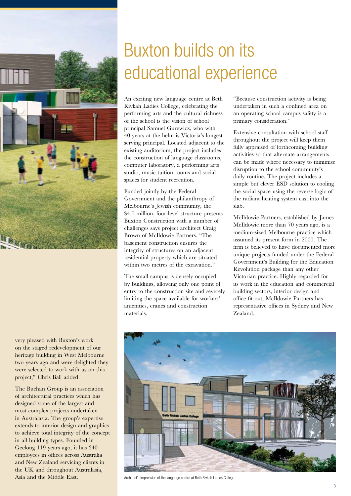

very pleased with Buxton's work on the staged redevelopment of our heritage building in West Melbourne two years ago and were delighted they were selected to work with us on this project," Chris Ball added.

The Buchan Group is an association of architectural practices which has designed some of the largest and most complex projects undertaken in Australasia. The group's expertise extends to interior design and graphics to achieve total integrity of the concept in all building types. Founded in Geelong 119 years ago, it has 340 employees in offices across Australia and New Zealand servicing clients in the UK and throughout Australasia, Asia and the Middle East. Architect's impression of the language centre at Beth Rivkah Ladies College.

## Buxton builds on its educational experience

An exciting new language centre at Beth Rivkah Ladies College, celebrating the performing arts and the cultural richness of the school is the vision of school principal Samuel Gurewicz, who with 40 years at the helm is Victoria's longest serving principal. Located adjacent to the existing auditorium, the project includes the construction of language classrooms, computer laboratory, a performing arts studio, music tuition rooms and social spaces for student recreation.

Funded jointly by the Federal Government and the philanthropy of Melbourne's Jewish community, the \$4.0 million, four-level structure presents Buxton Construction with a number of challenges says project architect Craig Brown of McIldowie Partners. "The basement construction ensures the integrity of structures on an adjacent residential property which are situated within two metres of the excavation."

The small campus is densely occupied by buildings, allowing only one point of entry to the construction site and severely limiting the space available for workers' amenities, cranes and construction materials.

"Because construction activity is being undertaken in such a confined area on an operating school campus safety is a primary consideration."

Extensive consultation with school staff throughout the project will keep them fully appraised of forthcoming building activities so that alternate arrangements can be made where necessary to minimise disruption to the school community's daily routine. The project includes a simple but clever ESD solution to cooling the social space using the reverse logic of the radiant heating system cast into the slab.

McIldowie Partners, established by James McIldowie more than 70 years ago, is a medium-sized Melbourne practice which assumed its present form in 2000. The firm is believed to have documented more unique projects funded under the Federal Government's Building for the Education Revolution package than any other Victorian practice. Highly regarded for its work in the education and commercial building sectors, interior design and office fit-out, McIldowie Partners has representative offices in Sydney and New Zealand.

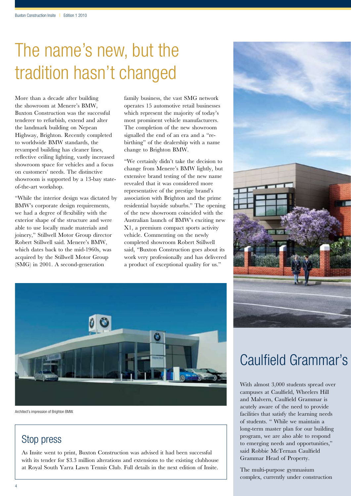## The name's new, but the tradition hasn't changed

More than a decade after building the showroom at Menere's BMW, Buxton Construction was the successful tenderer to refurbish, extend and alter the landmark building on Nepean Highway, Brighton. Recently completed to worldwide BMW standards, the revamped building has cleaner lines, reflective ceiling lighting, vastly increased showroom space for vehicles and a focus on customers' needs. The distinctive showroom is supported by a 13-bay stateof-the-art workshop.

"While the interior design was dictated by BMW's corporate design requirements, we had a degree of flexibility with the exterior shape of the structure and were able to use locally made materials and joinery," Stillwell Motor Group director Robert Stillwell said. Menere's BMW, which dates back to the mid-1960s, was acquired by the Stillwell Motor Group (SMG) in 2001. A second-generation

family business, the vast SMG network operates 15 automotive retail businesses which represent the majority of today's most prominent vehicle manufacturers. The completion of the new showroom signalled the end of an era and a "rebirthing" of the dealership with a name change to Brighton BMW.

"We certainly didn't take the decision to change from Menere's BMW lightly, but extensive brand testing of the new name revealed that it was considered more representative of the prestige brand's association with Brighton and the prime residential bayside suburbs." The opening of the new showroom coincided with the Australian launch of BMW's exciting new X1, a premium compact sports activity vehicle. Commenting on the newly completed showroom Robert Stillwell said, "Buxton Construction goes about its work very professionally and has delivered a product of exceptional quality for us."



Architect's impression of Brighton BMW.

### Stop press

As Insite went to print, Buxton Construction was advised it had been successful with its tender for \$3.3 million alterations and extensions to the existing clubhouse at Royal South Yarra Lawn Tennis Club. Full details in the next edition of Insite.



## Caulfield Grammar's

With almost 3,000 students spread over campuses at Caulfield, Wheelers Hill and Malvern, Caulfield Grammar is acutely aware of the need to provide facilities that satisfy the learning needs of students. " While we maintain a long-term master plan for our building program, we are also able to respond to emerging needs and opportunities," said Robbie McTernan Caulfield Grammar Head of Property.

The multi-purpose gymnasium complex, currently under construction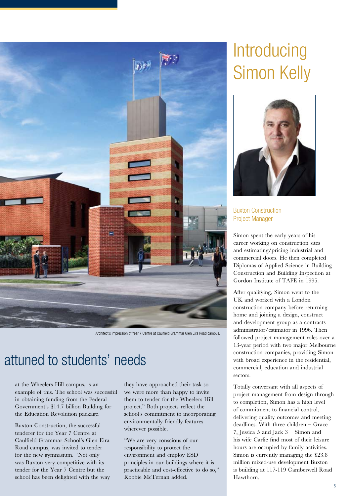

Architect's impression of Year 7 Centre at Caulfield Grammar Glen Eira Road campus.

## attuned to students' needs

at the Wheelers Hill campus, is an example of this. The school was successful in obtaining funding from the Federal Government's \$14.7 billion Building for the Education Revolution package.

Buxton Construction, the successful tenderer for the Year 7 Centre at Caulfield Grammar School's Glen Eira Road campus, was invited to tender for the new gymnasium. "Not only was Buxton very competitive with its tender for the Year 7 Centre but the school has been delighted with the way they have approached their task so we were more than happy to invite them to tender for the Wheelers Hill project." Both projects reflect the school's commitment to incorporating environmentally friendly features wherever possible.

"We are very conscious of our responsibility to protect the environment and employ ESD principles in our buildings where it is practicable and cost-effective to do so," Robbie McTernan added.

## **Introducing** Simon Kelly



Buxton Construction Project Manager

Simon spent the early years of his career working on construction sites and estimating/pricing industrial and commercial doors. He then completed Diplomas of Applied Science in Building Construction and Building Inspection at Gordon Institute of TAFE in 1995.

After qualifying, Simon went to the UK and worked with a London construction company before returning home and joining a design, construct and development group as a contracts administrator/estimator in 1996. Then followed project management roles over a 13-year period with two major Melbourne construction companies, providing Simon with broad experience in the residential, commercial, education and industrial sectors.

Totally conversant with all aspects of project management from design through to completion, Simon has a high level of commitment to financial control, delivering quality outcomes and meeting deadlines. With three children – Grace 7, Jessica 5 and Jack 3 – Simon and his wife Carlie find most of their leisure hours are occupied by family activities. Simon is currently managing the \$23.8 million mixed-use development Buxton is building at 117-119 Camberwell Road Hawthorn.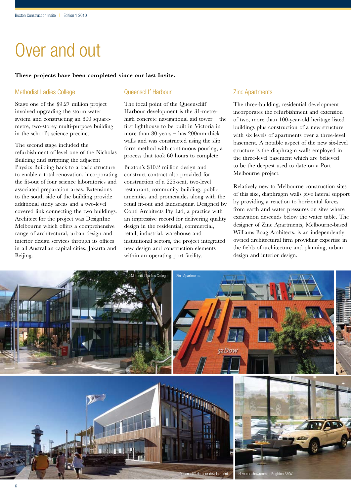## Over and out

#### **These projects have been completed since our last Insite.**

### Methodist Ladies College

Stage one of the \$9.27 million project involved upgrading the storm water system and constructing an 800 squaremetre, two-storey multi-purpose building in the school's science precinct.

The second stage included the refurbishment of level one of the Nicholas Building and stripping the adjacent Physics Building back to a basic structure to enable a total renovation, incorporating the fit-out of four science laboratories and associated preparation areas. Extensions to the south side of the building provide additional study areas and a two-level covered link connecting the two buildings. Architect for the project was DesignInc Melbourne which offers a comprehensive range of architectural, urban design and interior design services through its offices in all Australian capital cities, Jakarta and Beijing.

### Queenscliff Harbour

The focal point of the Queenscliff Harbour development is the 31-metrehigh concrete navigational aid tower – the first lighthouse to be built in Victoria in more than 80 years – has 200mm-thick walls and was constructed using the slip form method with continuous pouring, a process that took 60 hours to complete.

Buxton's \$10.2 million design and construct contract also provided for construction of a 225-seat, two-level restaurant, community building, public amenities and promenades along with the retail fit-out and landscaping. Designed by Conti Architects Pty Ltd, a practice with an impressive record for delivering quality design in the residential, commercial, retail, industrial, warehouse and institutional sectors, the project integrated new design and construction elements within an operating port facility.

### Zinc Apartments

The three-building, residential development incorporates the refurbishment and extension of two, more than 100-year-old heritage listed buildings plus construction of a new structure with six levels of apartments over a three-level basement. A notable aspect of the new six-level structure is the diaphragm walls employed in the three-level basement which are believed to be the deepest used to date on a Port Melbourne project.

Relatively new to Melbourne construction sites of this size, diaphragm walls give lateral support by providing a reaction to horizontal forces from earth and water pressures on sites where excavation descends below the water table. The designer of Zinc Apartments, Melbourne-based Williams Boag Architects, is an independently owned architectural firm providing expertise in the fields of architecture and planning, urban design and interior design.

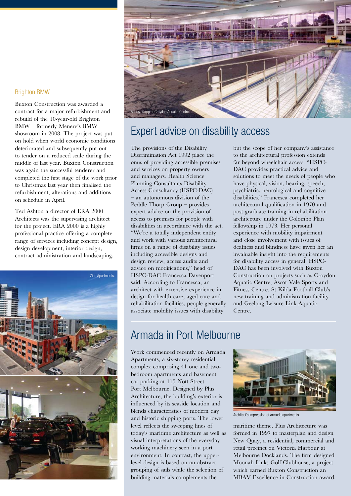### Brighton BMW

Buxton Construction was awarded a contract for a major refurbishment and rebuild of the 10-year-old Brighton BMW – formerly Menere's BMW – showroom in 2008. The project was put on hold when world economic conditions deteriorated and subsequently put out to tender on a reduced scale during the middle of last year. Buxton Construction was again the successful tenderer and completed the first stage of the work prior to Christmas last year then finalised the refurbishment, alterations and additions on schedule in April.

Ted Ashton a director of ERA 2000 Architects was the supervising architect for the project. ERA 2000 is a highly professional practice offering a complete range of services including concept design, design development, interior design, contract administration and landscaping.





### Expert advice on disability access

The provisions of the Disability Discrimination Act 1992 place the onus of providing accessible premises and services on property owners and managers. Health Science Planning Consultants Disability Access Consultancy (HSPC-DAC) – an autonomous division of the Peddle Thorp Group – provides expert advice on the provision of access to premises for people with disabilities in accordance with the act. "We're a totally independent entity and work with various architectural firms on a range of disability issues including accessible designs and design review, access audits and advice on modifications," head of HSPC-DAC Francesca Davenport said. According to Francesca, an architect with extensive experience in design for health care, aged care and rehabilitation facilities, people generally associate mobility issues with disability

but the scope of her company's assistance to the architectural profession extends far beyond wheelchair access. "HSPC-DAC provides practical advice and solutions to meet the needs of people who have physical, vision, hearing, speech, psychiatric, neurological and cognitive disabilities." Francesca completed her architectural qualification in 1970 and post-graduate training in rehabilitation architecture under the Colombo Plan fellowship in 1973. Her personal experience with mobility impairment and close involvement with issues of deafness and blindness have given her an invaluable insight into the requirements for disability access in general. HSPC-DAC has been involved with Buxton Construction on projects such as Croydon Aquatic Centre, Ascot Vale Sports and Fitness Centre, St Kilda Football Club's new training and administration facility and Geelong Leisure Link Aquatic Centre.

### Armada in Port Melbourne

Work commenced recently on Armada Apartments, a six-storey residential complex comprising 41 one and twobedroom apartments and basement car parking at 115 Nott Street Port Melbourne. Designed by Plus Architecture, the building's exterior is influenced by its seaside location and blends characteristics of modern day and historic shipping ports. The lower level reflects the sweeping lines of today's maritime architecture as well as visual interpretations of the everyday working machinery seen in a port environment. In contrast, the upperlevel design is based on an abstract grouping of sails while the selection of building materials complements the



Architect's impression of Armada apartments.

maritime theme. Plus Architecture was formed in 1997 to masterplan and design New Quay, a residential, commercial and retail precinct on Victoria Harbour at Melbourne Docklands. The firm designed Moonah Links Golf Clubhouse, a project which earned Buxton Construction an MBAV Excellence in Construction award.